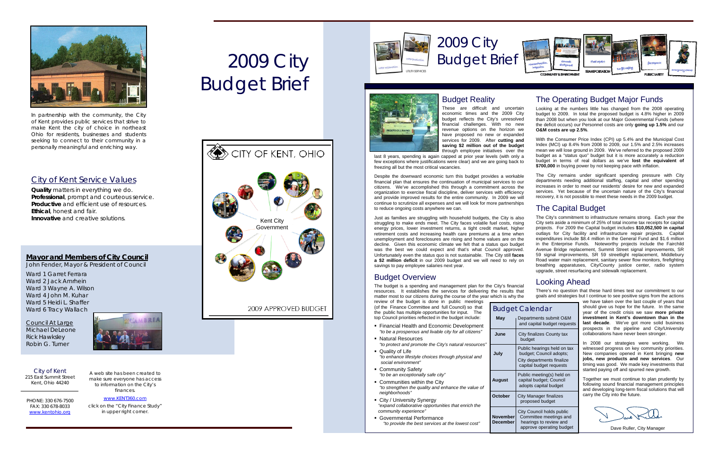# 2009 City Budget Brief



In partnership with the community, the City of Kent provides public services that strive to make Kent the city of choice in northeast Ohio for residents, businesses and students seeking to connect to their community in a personally meaningful and enriching way.

*Quality* matters in everything we do. *Professional*, prompt and courteous service. *Productive* and efficient use of resources. *Ethical*, honest and fair. *Innovative* and creative solutions.

### City of Kent Service Values

### **Mayor and Members of City Council**

**June City finalizes County tax** budget

John Fender, Mayor & President of Council

Public hearings held on tax<br>**July** budget; Council adopts; budget; Council adopts; City departments finalize capital budget requests

**October City Manager finalizes** proposed budget

Ward 1 Garret Ferrara Ward 2 Jack Amrhein Ward 3 Wayne A. Wilson Ward 4 John M. Kuhar Ward 5 Heidi L. Shaffer Ward 6 Tracy Wallach

These are difficult and uncertain economic times and the 2009 City budget reflects the City's unresolved financial challenges. With no new revenue options on the horizon we have proposed no new or expanded

Council At Large Michael DeLeone Rick Hawksley Robin G. Turner

## 2009 City Budget Brief





PHONE: 330 676-7500 FAX: 330 678-8033 [www.kentohio.org](http://www.kentohio.org/)

### Budget Calendar

**May** Departments submit O&M and capital budget requests

 Public meeting(s) held on **August** capital budget; Council adopts capital budget

City Council holds public **November** Committee meetings and **December** | hearings to review and approve operating budget

### Budget Reality

services for 2009. After **cutting and saving \$2 million out of the budget** through employee initiatives over the last 8 years, spending is again capped at prior year levels (with only a few exceptions where justifications were clear) and we are going back to freezing all but the most critical vacancies. With the Consumer Price Index (CPI) up 5.4% and the Municipal Cost Index (MCI) up 8.4% from 2008 to 2009, our 1.5% and 2.5% increases mean we will lose ground in 2009. We've referred to the proposed 2009 budget as a "status quo" budget but it is more accurately a reduction budget in terms of real dollars as we've **lost the equivalent of \$700,000** in buying power by not keeping pace with inflation.

### Budget Overview

Despite the downward economic turn this budget provides a workable financial plan that ensures the continuation of municipal services to our citizens. We've accomplished this through a commitment across the organization to exercise fiscal discipline, deliver services with efficiency and provide improved results for the entire community. In 2009 we will continue to scrutinize all expenses and we will look for more partnerships to reduce ongoing costs anywhere we can. The City remains under significant spending pressure with City departments needing additional staffing, capital and other spending increases in order to meet our residents' desire for new and expanded services. Yet because of the uncertain nature of the City's financial recovery, it is not possible to meet these needs in the 2009 budget.

(of the Finance Committee and full Council) so that the public has multiple opportunities for input. The top Council priorities reflected in the budget include:

- **Financial Health and Economic Development** *"to be a prosperous and livable city for all citizens"*
- **Natural Resources**  *"to protect and promote the City's natural resources"*
- Quality of Life
	- *"to enhance lifestyle choices through physical and social environment"*
- **Community Safety**
- *"to be an exceptionally safe city"*
- Communities within the City  *"to strengthen the quality and enhance the value of neighborhoods"*
- City / University Synergy *"expand collaborative opportunities that enrich the community experience"*
- Governmental Performance *"to provide the best services at the lowest cost"*



### The Operating Budget Major Funds

Looking at the numbers little has changed from the 2008 operating budget to 2009. In total the proposed budget is 4.8% higher in 2009 than 2008 but when you look at our Major Governmental Funds (where the deficit occurs) our Personnel costs are only **going up 1.5%** and our **O&M costs are up 2.5%**.

Just as families are struggling with household budgets, the City is also struggling to make ends meet. The City faces volatile fuel costs, rising energy prices, lower investment returns, a tight credit market, higher retirement costs and increasing health care premiums at a time when unemployment and foreclosures are rising and home values are on the decline. Given this economic climate we felt that a status quo budget was the best we could expect and that's what Council approved. Unfortunately even the status quo is not sustainable. The City still **faces a \$2 million deficit** in our 2009 budget and we will need to rely on savings to pay employee salaries next vear. The City's commitment to infrastructure remains strong. Each year the City sets aside a minimum of 25% of total income tax receipts for capital projects. For 2009 the Capital budget includes **\$10,052,500 in capital** outlays for City facility and infrastructure repair projects. Capital expenditures include \$8.4 million in the General Fund and \$1.6 million in the Enterprise Funds. Noteworthy projects include the Fairchild Avenue Bridge replacement, Summit Street signal improvements, SR 59 signal improvements, SR 59 streetlight replacement, Middlebury Road water main replacement, sanitary sewer flow monitors, firefighting breathing apparatuses, City/County justice center, radio system upgrade, street resurfacing and sidewalk replacement.

The budget is a spending and management plan for the City's financial resources. It establishes the services for delivering the results that matter most to our citizens during the course of the year which is why the review of the budget is done in public meetings There's no question that these hard times test our commitment to our goals and strategies but I continue to see positive signs from the actions

### The Capital Budget

### Looking Ahead

we have taken over the last couple of years that should give us hope for the future. In the same year of the credit crisis we saw **more private investment in Kent's downtown than in the last decade**. We've got more solid business prospects in the pipeline and City/University collaborations have never been stronger.

In 2008 our strategies were working. We witnessed progress on key community priorities. New companies opened in Kent bringing **new jobs, new products and new services**. Our timing was good. We made key investments that started paying off and spurred new growth.

Together we must continue to plan prudently by following sound financial management principles and developing long-term fiscal solutions that will carry the City into the future.

Dave Ruller, City Manager





A web site has been created to make sure everyone has access to information on the City's finances.

www.KENT360.com

click on the "City Finance Study" in upper right corner.